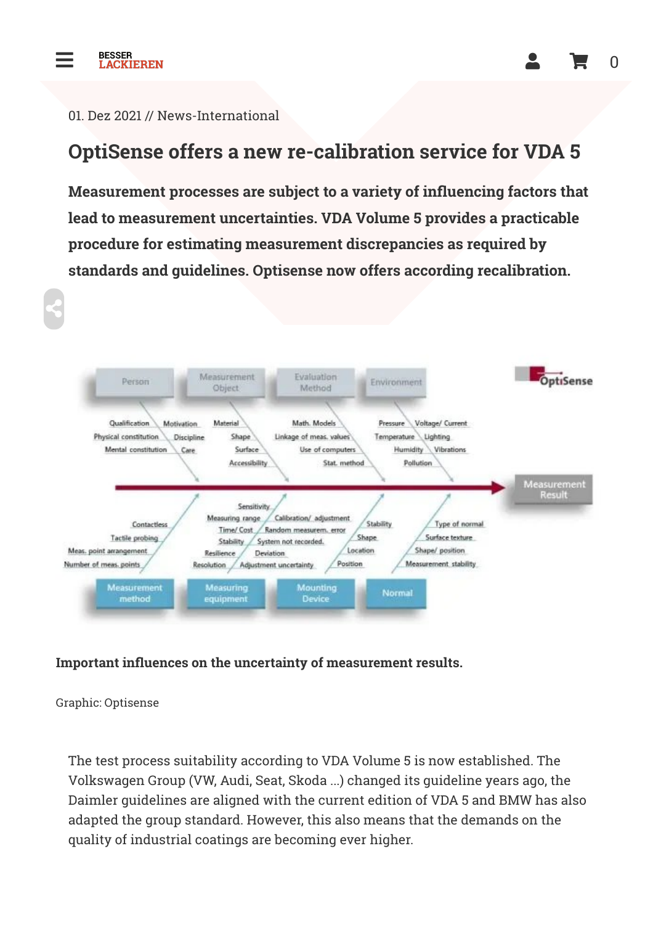

 $\leq$ 

#### 01. Dez 2021 // News-International

#### OptiSense offers a new re-calibration service for VDA 5

Measurement processes are subject to a variety of influencing factors that lead to measurement uncertainties. VDA Volume 5 provides a practicable procedure for estimating measurement discrepancies as required by standards and guidelines. Optisense now offers according recalibration.



#### Important influences on the uncertainty of measurement results.

Graphic: Optisense

The test process suitability according to VDA Volume 5 is now established. The Volkswagen Group (VW, Audi, Seat, Skoda ...) changed its guideline years ago, the Daimler guidelines are aligned with the current edition of VDA 5 and BMW has also adapted the group standard. However, this also means that the demands on the quality of industrial coatings are becoming ever higher.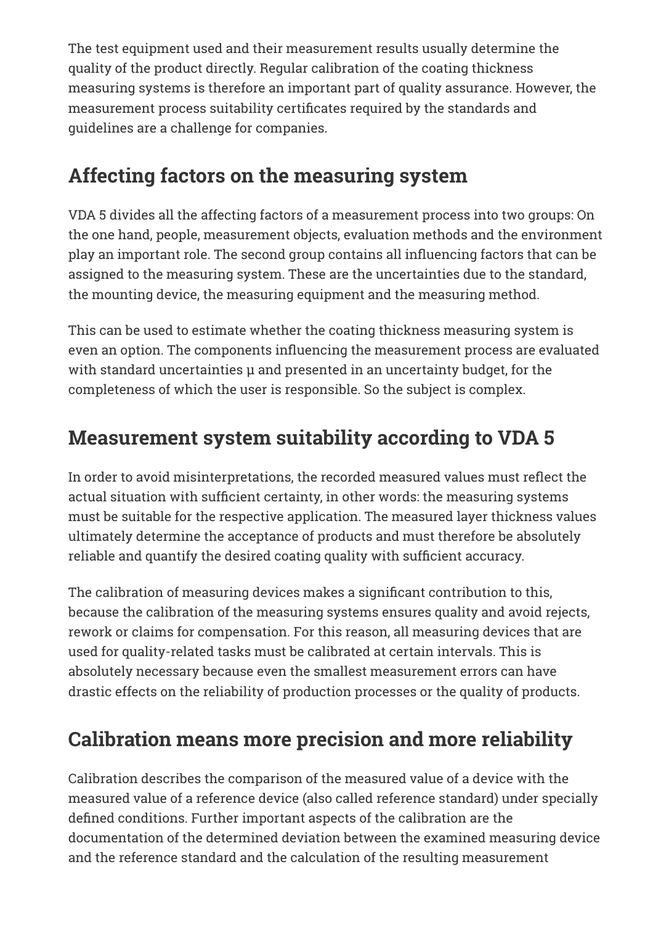The test equipment used and their measurement results usually determine the quality of the product directly. Regular calibration of the coating thickness measuring systems is therefore an important part of quality assurance. However, the measurement process suitability certificates required by the standards and guidelines are a challenge for companies.

# Affecting factors on the measuring system

VDA 5 divides all the affecting factors of a measurement process into two groups: On the one hand, people, measurement objects, evaluation methods and the environment play an important role. The second group contains all influencing factors that can be assigned to the measuring system. These are the uncertainties due to the standard, the mounting device, the measuring equipment and the measuring method.

This can be used to estimate whether the coating thickness measuring system is even an option. The components influencing the measurement process are evaluated with standard uncertainties μ and presented in an uncertainty budget, for the completeness of which the user is responsible. So the subject is complex.

# Measurement system suitability according to VDA 5

In order to avoid misinterpretations, the recorded measured values must reflect the actual situation with sufficient certainty, in other words: the measuring systems must be suitable for the respective application. The measured layer thickness values ultimately determine the acceptance of products and must therefore be absolutely reliable and quantify the desired coating quality with sufficient accuracy.

The calibration of measuring devices makes a significant contribution to this, because the calibration of the measuring systems ensures quality and avoid rejects, rework or claims for compensation. For this reason, all measuring devices that are used for quality-related tasks must be calibrated at certain intervals. This is absolutely necessary because even the smallest measurement errors can have drastic effects on the reliability of production processes or the quality of products.

### Calibration means more precision and more reliability

Calibration describes the comparison of the measured value of a device with the measured value of a reference device (also called reference standard) under specially defined conditions. Further important aspects of the calibration are the documentation of the determined deviation between the examined measuring device and the reference standard and the calculation of the resulting measurement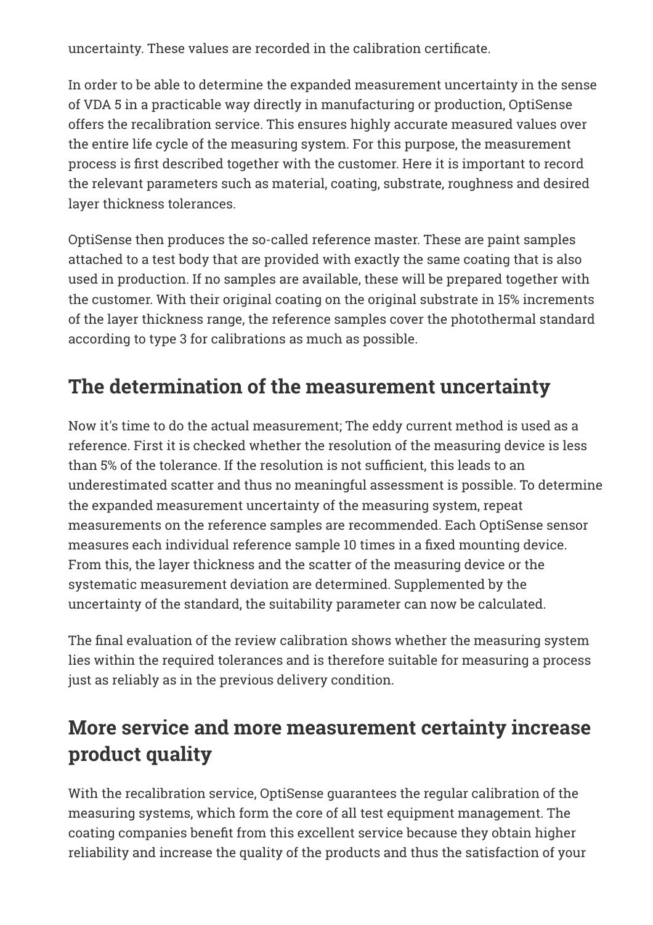uncertainty. These values are recorded in the calibration certificate.

In order to be able to determine the expanded measurement uncertainty in the sense of VDA 5 in a practicable way directly in manufacturing or production, OptiSense offers the recalibration service. This ensures highly accurate measured values over the entire life cycle of the measuring system. For this purpose, the measurement process is first described together with the customer. Here it is important to record the relevant parameters such as material, coating, substrate, roughness and desired layer thickness tolerances.

OptiSense then produces the so-called reference master. These are paint samples attached to a test body that are provided with exactly the same coating that is also used in production. If no samples are available, these will be prepared together with the customer. With their original coating on the original substrate in 15% increments of the layer thickness range, the reference samples cover the photothermal standard according to type 3 for calibrations as much as possible.

### The determination of the measurement uncertainty

Now it's time to do the actual measurement; The eddy current method is used as a reference. First it is checked whether the resolution of the measuring device is less than 5% of the tolerance. If the resolution is not sufficient, this leads to an underestimated scatter and thus no meaningful assessment is possible. To determine the expanded measurement uncertainty of the measuring system, repeat measurements on the reference samples are recommended. Each OptiSense sensor measures each individual reference sample 10 times in a fixed mounting device. From this, the layer thickness and the scatter of the measuring device or the systematic measurement deviation are determined. Supplemented by the uncertainty of the standard, the suitability parameter can now be calculated.

The final evaluation of the review calibration shows whether the measuring system lies within the required tolerances and is therefore suitable for measuring a process just as reliably as in the previous delivery condition.

#### More service and more measurement certainty increase product quality

With the recalibration service, OptiSense guarantees the regular calibration of the measuring systems, which form the core of all test equipment management. The coating companies benefit from this excellent service because they obtain higher reliability and increase the quality of the products and thus the satisfaction of your